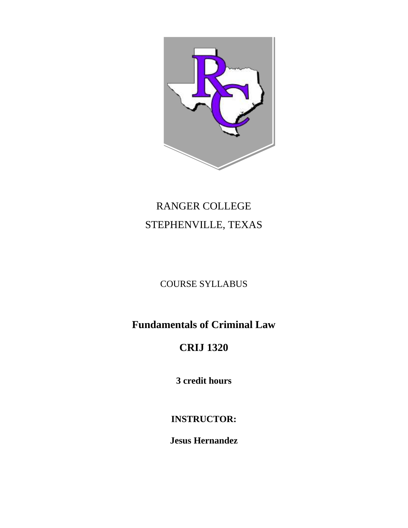

# RANGER COLLEGE STEPHENVILLE, TEXAS

### COURSE SYLLABUS

### **Fundamentals of Criminal Law**

## **CRIJ 1320**

**3 credit hours**

### **INSTRUCTOR:**

**Jesus Hernandez**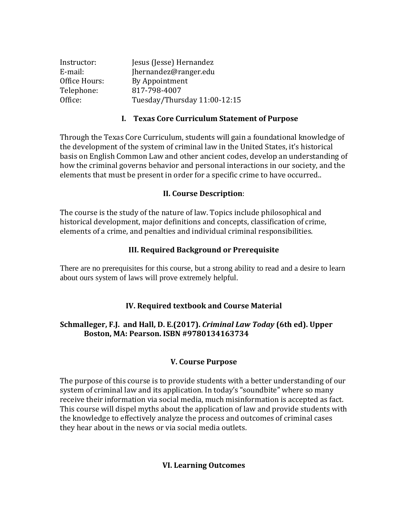| Instructor:   | Jesus (Jesse) Hernandez      |
|---------------|------------------------------|
| E-mail:       | Jhernandez@ranger.edu        |
| Office Hours: | By Appointment               |
| Telephone:    | 817-798-4007                 |
| Office:       | Tuesday/Thursday 11:00-12:15 |

#### **I. Texas Core Curriculum Statement of Purpose**

Through the Texas Core Curriculum, students will gain a foundational knowledge of the development of the system of criminal law in the United States, it's historical basis on English Common Law and other ancient codes, develop an understanding of how the criminal governs behavior and personal interactions in our society, and the elements that must be present in order for a specific crime to have occurred..

#### **II. Course Description**:

The course is the study of the nature of law. Topics include philosophical and historical development, major definitions and concepts, classification of crime, elements of a crime, and penalties and individual criminal responsibilities.

#### **III. Required Background or Prerequisite**

There are no prerequisites for this course, but a strong ability to read and a desire to learn about ours system of laws will prove extremely helpful.

#### **IV. Required textbook and Course Material**

#### **Schmalleger, F.J. and Hall, D. E.(2017).** *Criminal Law Today* **(6th ed). Upper Boston, MA: Pearson. ISBN #9780134163734**

#### **V. Course Purpose**

The purpose of this course is to provide students with a better understanding of our system of criminal law and its application. In today's "soundbite" where so many receive their information via social media, much misinformation is accepted as fact. This course will dispel myths about the application of law and provide students with the knowledge to effectively analyze the process and outcomes of criminal cases they hear about in the news or via social media outlets.

#### **VI. Learning Outcomes**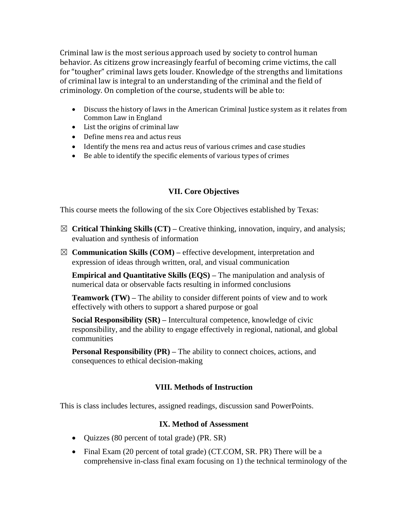Criminal law is the most serious approach used by society to control human behavior. As citizens grow increasingly fearful of becoming crime victims, the call for "tougher" criminal laws gets louder. Knowledge of the strengths and limitations of criminal law is integral to an understanding of the criminal and the field of criminology. On completion of the course, students will be able to:

- Discuss the history of laws in the American Criminal Justice system as it relates from Common Law in England
- List the origins of criminal law
- Define mens rea and actus reus
- Identify the mens rea and actus reus of various crimes and case studies
- Be able to identify the specific elements of various types of crimes

#### **VII. Core Objectives**

This course meets the following of the six Core Objectives established by Texas:

- ☒ **Critical Thinking Skills (CT) –** Creative thinking, innovation, inquiry, and analysis; evaluation and synthesis of information
- $\boxtimes$  **Communication Skills (COM)** effective development, interpretation and expression of ideas through written, oral, and visual communication

**Empirical and Quantitative Skills (EQS) –** The manipulation and analysis of numerical data or observable facts resulting in informed conclusions

**Teamwork (TW) –** The ability to consider different points of view and to work effectively with others to support a shared purpose or goal

**Social Responsibility (SR) –** Intercultural competence, knowledge of civic responsibility, and the ability to engage effectively in regional, national, and global communities

**Personal Responsibility (PR)** – The ability to connect choices, actions, and consequences to ethical decision-making

#### **VIII. Methods of Instruction**

This is class includes lectures, assigned readings, discussion sand PowerPoints.

#### **IX. Method of Assessment**

- Ouizzes (80 percent of total grade) (PR. SR)
- Final Exam (20 percent of total grade) (CT.COM, SR. PR) There will be a comprehensive in-class final exam focusing on 1) the technical terminology of the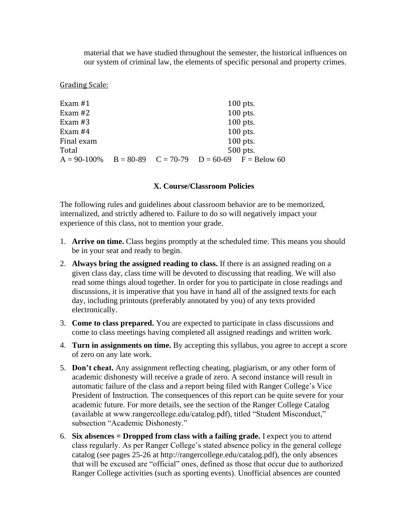material that we have studied throughout the semester, the historical influences on our system of criminal law, the elements of specific personal and property crimes.

Grading Scale:

| Exam $#1$  |  | $100$ pts.                                                        |
|------------|--|-------------------------------------------------------------------|
| Exam $#2$  |  | $100$ pts.                                                        |
| Exam $#3$  |  | $100$ pts.                                                        |
| Exam $#4$  |  | $100$ pts.                                                        |
| Final exam |  | $100$ pts.                                                        |
| Total      |  | 500 pts.                                                          |
|            |  | $A = 90-100\%$ $B = 80-89$ $C = 70-79$ $D = 60-69$ $F = Below 60$ |

#### **X. Course/Classroom Policies**

The following rules and guidelines about classroom behavior are to be memorized, internalized, and strictly adhered to. Failure to do so will negatively impact your experience of this class, not to mention your grade.

- 1. **Arrive on time.** Class begins promptly at the scheduled time. This means you should be in your seat and ready to begin.
- 2. **Always bring the assigned reading to class.** If there is an assigned reading on a given class day, class time will be devoted to discussing that reading. We will also read some things aloud together. In order for you to participate in close readings and discussions, it is imperative that you have in hand all of the assigned texts for each day, including printouts (preferably annotated by you) of any texts provided electronically.
- 3. **Come to class prepared.** You are expected to participate in class discussions and come to class meetings having completed all assigned readings and written work.
- 4. **Turn in assignments on time.** By accepting this syllabus, you agree to accept a score of zero on any late work.
- 5. **Don't cheat.** Any assignment reflecting cheating, plagiarism, or any other form of academic dishonesty will receive a grade of zero. A second instance will result in automatic failure of the class and a report being filed with Ranger College's Vice President of Instruction. The consequences of this report can be quite severe for your academic future. For more details, see the section of the Ranger College Catalog (available at www.rangercollege.edu/catalog.pdf), titled "Student Misconduct," subsection "Academic Dishonesty."
- 6. **Six absences = Dropped from class with a failing grade.** I expect you to attend class regularly. As per Ranger College's stated absence policy in the general college catalog (see pages 25-26 at http://rangercollege.edu/catalog.pdf), the only absences that will be excused are "official" ones, defined as those that occur due to authorized Ranger College activities (such as sporting events). Unofficial absences are counted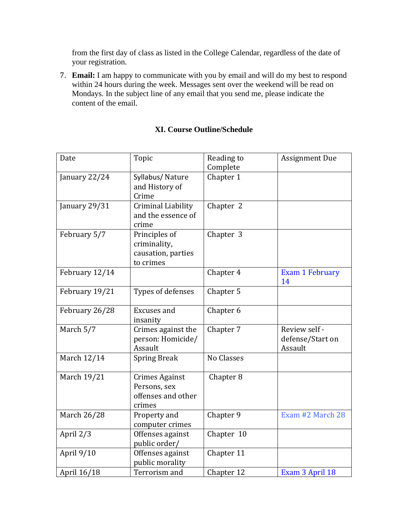from the first day of class as listed in the College Calendar, regardless of the date of your registration.

7. **Email:** I am happy to communicate with you by email and will do my best to respond within 24 hours during the week. Messages sent over the weekend will be read on Mondays. In the subject line of any email that you send me, please indicate the content of the email.

| Date           | Topic                                                                 | Reading to<br>Complete | <b>Assignment Due</b>                        |
|----------------|-----------------------------------------------------------------------|------------------------|----------------------------------------------|
| January 22/24  | Syllabus/Nature<br>and History of<br>Crime                            | Chapter 1              |                                              |
| January 29/31  | Criminal Liability<br>and the essence of<br>crime                     | Chapter 2              |                                              |
| February 5/7   | Principles of<br>criminality,<br>causation, parties<br>to crimes      | Chapter 3              |                                              |
| February 12/14 |                                                                       | Chapter 4              | <b>Exam 1 February</b><br>14                 |
| February 19/21 | Types of defenses                                                     | Chapter 5              |                                              |
| February 26/28 | <b>Excuses</b> and<br>insanity                                        | Chapter 6              |                                              |
| March 5/7      | Crimes against the<br>person: Homicide/<br>Assault                    | Chapter 7              | Review self -<br>defense/Start on<br>Assault |
| March 12/14    | <b>Spring Break</b>                                                   | No Classes             |                                              |
| March 19/21    | <b>Crimes Against</b><br>Persons, sex<br>offenses and other<br>crimes | Chapter <sub>8</sub>   |                                              |
| March 26/28    | Property and<br>computer crimes                                       | Chapter 9              | Exam #2 March 28                             |
| April 2/3      | Offenses against<br>public order/                                     | Chapter 10             |                                              |
| April 9/10     | Offenses against<br>public morality                                   | Chapter 11             |                                              |
| April 16/18    | Terrorism and                                                         | Chapter 12             | Exam 3 April 18                              |

#### **XI. Course Outline/Schedule**